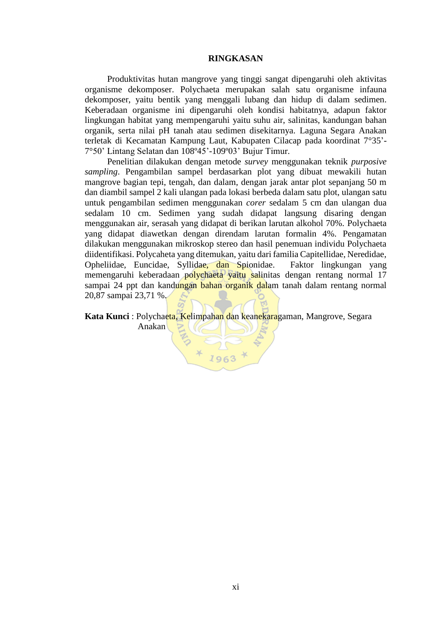## **RINGKASAN**

Produktivitas hutan mangrove yang tinggi sangat dipengaruhi oleh aktivitas organisme dekomposer. Polychaeta merupakan salah satu organisme infauna dekomposer, yaitu bentik yang menggali lubang dan hidup di dalam sedimen. Keberadaan organisme ini dipengaruhi oleh kondisi habitatnya, adapun faktor lingkungan habitat yang mempengaruhi yaitu suhu air, salinitas, kandungan bahan organik, serta nilai pH tanah atau sedimen disekitarnya. Laguna Segara Anakan terletak di Kecamatan Kampung Laut, Kabupaten Cilacap pada koordinat 7°35'- 7°50' Lintang Selatan dan 108º45'-109º03' Bujur Timur.

Penelitian dilakukan dengan metode *survey* menggunakan teknik *purposive sampling*. Pengambilan sampel berdasarkan plot yang dibuat mewakili hutan mangrove bagian tepi, tengah, dan dalam, dengan jarak antar plot sepanjang 50 m dan diambil sampel 2 kali ulangan pada lokasi berbeda dalam satu plot, ulangan satu untuk pengambilan sedimen menggunakan *corer* sedalam 5 cm dan ulangan dua sedalam 10 cm. Sedimen yang sudah didapat langsung disaring dengan menggunakan air, serasah yang didapat di berikan larutan alkohol 70%. Polychaeta yang didapat diawetkan dengan direndam larutan formalin 4%. Pengamatan dilakukan menggunakan mikroskop stereo dan hasil penemuan individu Polychaeta diidentifikasi. Polycaheta yang ditemukan, yaitu dari familia Capitellidae, Neredidae, Opheliidae, Euncidae, Syllidae, dan Spionidae. Faktor lingkungan yang memengaruhi keberadaan polychaeta yaitu salinitas dengan rentang normal 17 sampai 24 ppt dan kandungan bahan organik dalam tanah dalam rentang normal 20,87 sampai 23,71 %.

**Kata Kunci** : Polychaeta, Kelimpahan dan keanekaragaman, Mangrove, Segara Anakan

1963